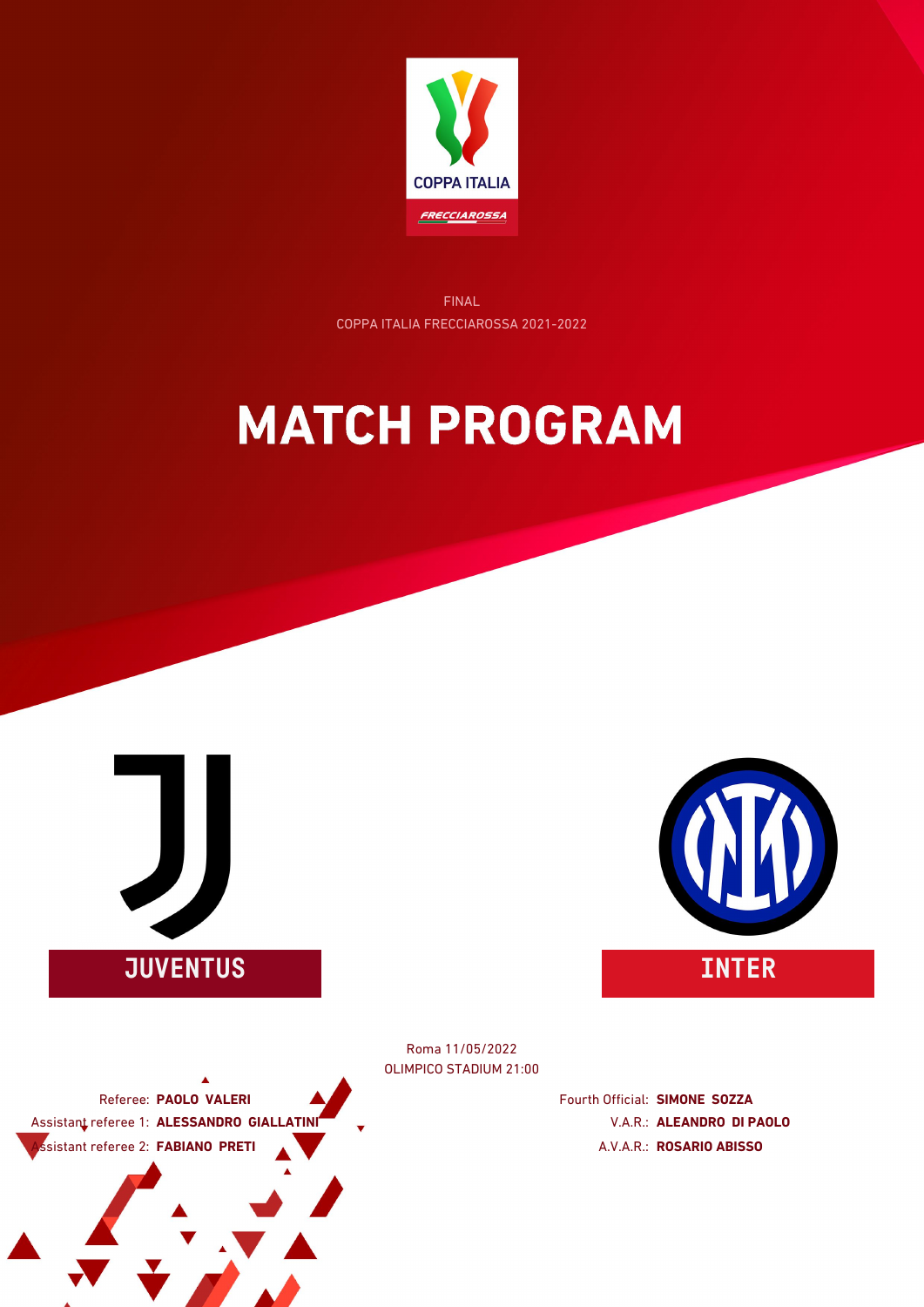

FINAL COPPA ITALIA FRECCIAROSSA 2021-2022

### **MATCH PROGRAM**





OLIMPICO STADIUM 21:00 Roma 11/05/2022

Referee: **PAOLO VALERI** Assistant referee 1: **ALESSANDRO GIALLATINI** Assistant referee 2: **FABIANO PRETI**

Fourth Official: **SIMONE SOZZA** V.A.R.: **ALEANDRO DI PAOLO** A.V.A.R.: **ROSARIO ABISSO**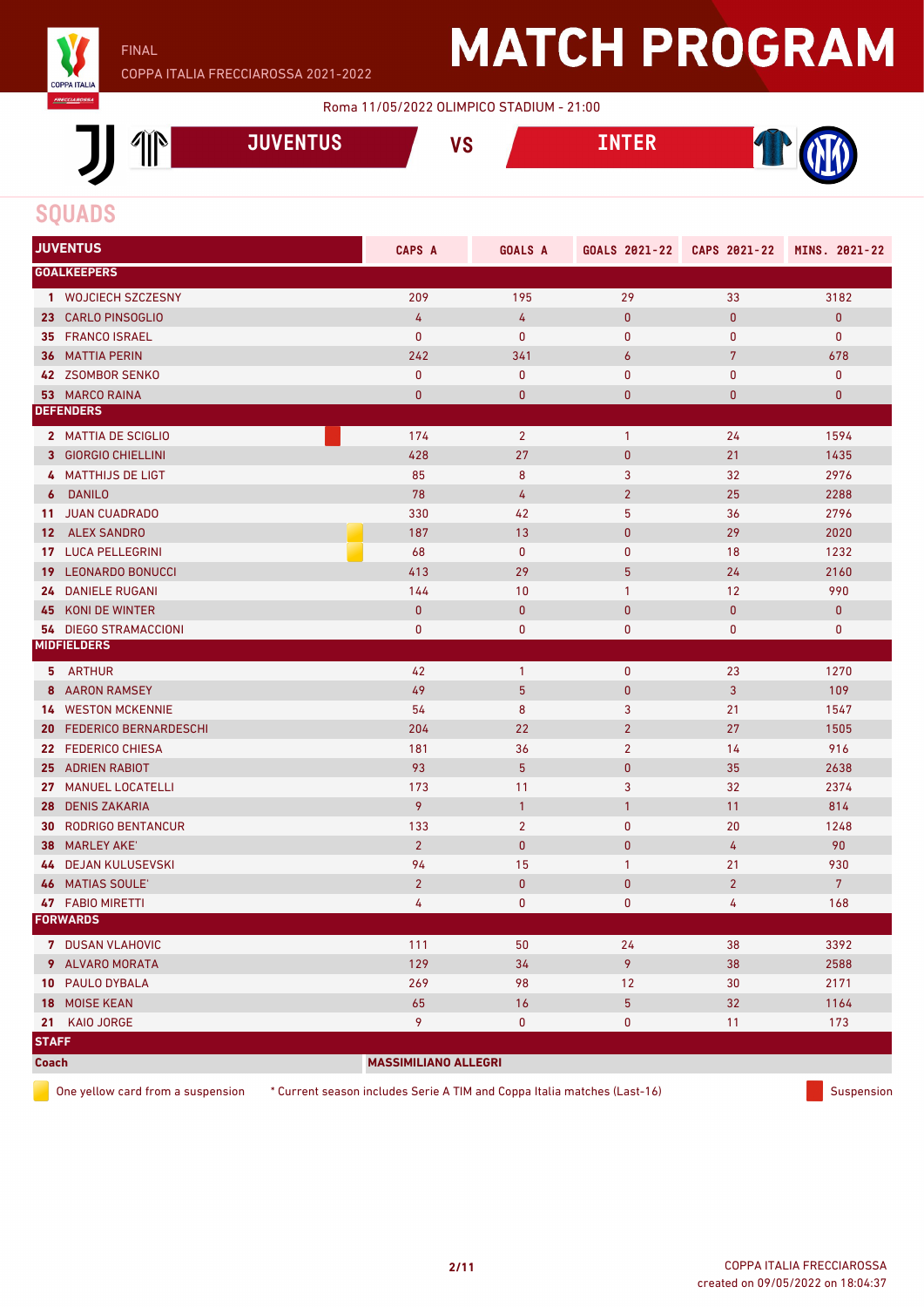

#### Roma 11/05/2022 OLIMPICO STADIUM - 21:00



### **SQUADS**

|              | <b>JUVENTUS</b>              | CAPS A                      | <b>GOALS A</b>  | GOALS 2021-22  | CAPS 2021-22   | MINS. 2021-22  |
|--------------|------------------------------|-----------------------------|-----------------|----------------|----------------|----------------|
|              | <b>GOALKEEPERS</b>           |                             |                 |                |                |                |
|              | 1 WOJCIECH SZCZESNY          | 209                         | 195             | 29             | 33             | 3182           |
|              | 23 CARLO PINSOGLIO           | 4                           | 4               | $\bf{0}$       | $\pmb{0}$      | $\pmb{0}$      |
|              | 35 FRANCO ISRAEL             | $\mathbf{0}$                | $\mathbf 0$     | 0              | 0              | $\bf{0}$       |
|              | <b>36 MATTIA PERIN</b>       | 242                         | 341             | 6              | $\overline{7}$ | 678            |
|              | 42 ZSOMBOR SENKO             | $\pmb{0}$                   | $\pmb{0}$       | 0              | 0              | $\pmb{0}$      |
|              | <b>53 MARCO RAINA</b>        | $\bf{0}$                    | $\mathbf{0}$    | $\bf{0}$       | 0              | $\pmb{0}$      |
|              | <b>DEFENDERS</b>             |                             |                 |                |                |                |
|              | 2 MATTIA DE SCIGLIO          | 174                         | $\overline{2}$  | $\mathbf{1}$   | 24             | 1594           |
|              | 3 GIORGIO CHIELLINI          | 428                         | 27              | $\pmb{0}$      | 21             | 1435           |
|              | 4 MATTHIJS DE LIGT           | 85                          | 8               | 3              | 32             | 2976           |
| 6            | <b>DANILO</b>                | 78                          | 4               | $\overline{2}$ | 25             | 2288           |
|              | 11 JUAN CUADRADO             | 330                         | 42              | 5              | 36             | 2796           |
| $12-$        | <b>ALEX SANDRO</b>           | 187                         | 13              | $\pmb{0}$      | 29             | 2020           |
| 17           | <b>LUCA PELLEGRINI</b>       | 68                          | $\pmb{0}$       | 0              | 18             | 1232           |
| 19           | <b>LEONARDO BONUCCI</b>      | 413                         | 29              | 5              | 24             | 2160           |
| 24           | <b>DANIELE RUGANI</b>        | 144                         | 10              | 1              | 12             | 990            |
| 45           | KONI DE WINTER               | $\mathbf{0}$                | $\mathbf{0}$    | $\mathbf{0}$   | $\mathbf 0$    | $\bf{0}$       |
|              | <b>54 DIEGO STRAMACCIONI</b> | 0                           | 0               | 0              | 0              | 0              |
|              | <b>MIDFIELDERS</b>           |                             |                 |                |                |                |
|              | 5 ARTHUR                     | 42                          | $\mathbf{1}$    | $\pmb{0}$      | 23             | 1270           |
|              | <b>8 AARON RAMSEY</b>        | 49                          | $5\phantom{.0}$ | $\pmb{0}$      | 3              | 109            |
|              | <b>14 WESTON MCKENNIE</b>    | 54                          | 8               | 3              | 21             | 1547           |
| 20           | <b>FEDERICO BERNARDESCHI</b> | 204                         | 22              | $\overline{2}$ | 27             | 1505           |
|              | 22 FEDERICO CHIESA           | 181                         | 36              | $\overline{2}$ | 14             | 916            |
| 25           | <b>ADRIEN RABIOT</b>         | 93                          | 5 <sup>5</sup>  | $\pmb{0}$      | 35             | 2638           |
| 27           | <b>MANUEL LOCATELLI</b>      | 173                         | 11              | 3              | 32             | 2374           |
|              | 28 DENIS ZAKARIA             | 9                           | $\mathbf{1}$    | $\mathbf{1}$   | 11             | 814            |
|              | <b>30 RODRIGO BENTANCUR</b>  | 133                         | $\overline{2}$  | $\mathbf 0$    | 20             | 1248           |
| 38           | <b>MARLEY AKE'</b>           | $\overline{2}$              | $\mathbf{0}$    | $\bf{0}$       | 4              | 90             |
| 44           | <b>DEJAN KULUSEVSKI</b>      | 94                          | 15              | $\mathbf{1}$   | 21             | 930            |
| 46           | <b>MATIAS SOULE'</b>         | $\overline{2}$              | $\mathbf{0}$    | $\pmb{0}$      | $\overline{2}$ | $7\phantom{.}$ |
|              | <b>47 FABIO MIRETTI</b>      | 4                           | $\pmb{0}$       | 0              | 4              | 168            |
|              | <b>FORWARDS</b>              |                             |                 |                |                |                |
|              | 7 DUSAN VLAHOVIC             | 111                         | 50              | 24             | 38             | 3392           |
|              | 9 ALVARO MORATA              | 129                         | 34              | 9              | 38             | 2588           |
|              | 10 PAULO DYBALA              | 269                         | 98              | 12             | 30             | 2171           |
|              | 18 MOISE KEAN                | 65                          | $16$            | $\overline{5}$ | 32             | 1164           |
| 21           | KAIO JORGE                   | 9                           | $\mathbf 0$     | $\mathbf 0$    | 11             | 173            |
| <b>STAFF</b> |                              |                             |                 |                |                |                |
| <b>Coach</b> |                              | <b>MASSIMILIANO ALLEGRI</b> |                 |                |                |                |

One yellow card from a suspension \* Current season includes Serie A TIM and Coppa Italia matches (Last-16) Suspension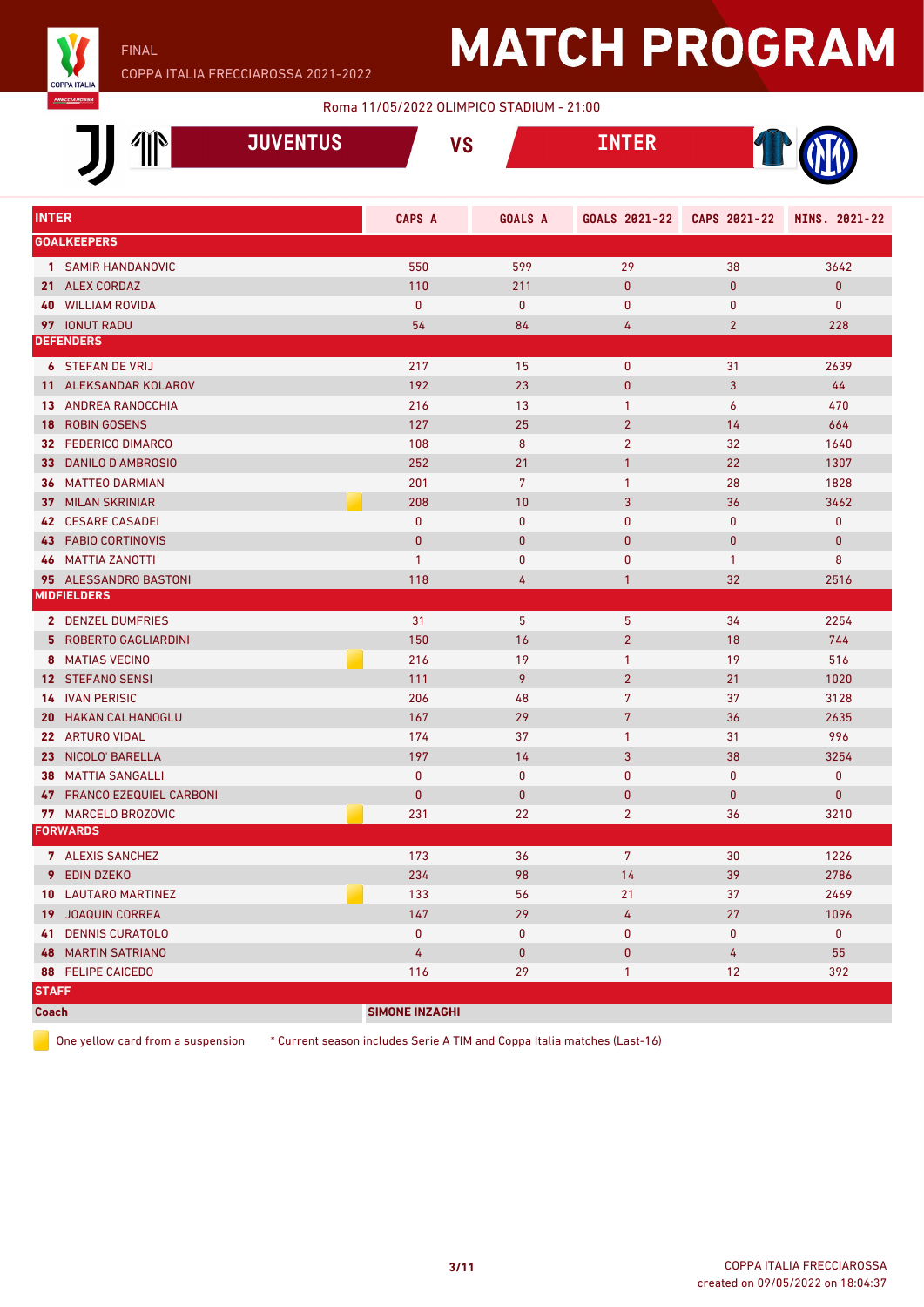

### Roma 11/05/2022 OLIMPICO STADIUM - 21:00

|              |                                        |                 |                       | <b>NUTREAD TO A POINT OF A PROPERTY OF A PROPERTY OF A PROPERTY OF A PROPERTY OF A PROPERTY OF A PROPERTY OF A PROPERTY</b> |                |                |               |
|--------------|----------------------------------------|-----------------|-----------------------|-----------------------------------------------------------------------------------------------------------------------------|----------------|----------------|---------------|
|              | ĬN                                     | <b>JUVENTUS</b> | <b>VS</b>             |                                                                                                                             | <b>INTER</b>   |                |               |
| <b>INTER</b> |                                        |                 | CAPS A                | <b>GOALS A</b>                                                                                                              | GOALS 2021-22  | CAPS 2021-22   | MINS. 2021-22 |
|              | <b>GOALKEEPERS</b>                     |                 |                       |                                                                                                                             |                |                |               |
|              | 1 SAMIR HANDANOVIC                     |                 | 550                   | 599                                                                                                                         | 29             | 38             | 3642          |
|              | 21 ALEX CORDAZ                         |                 | 110                   | 211                                                                                                                         | $\mathbf{0}$   | $\mathbf{0}$   | $\mathbf{0}$  |
|              | <b>40 WILLIAM ROVIDA</b>               |                 | $\mathbf{0}$          | $\mathbf{0}$                                                                                                                | $\mathbf{0}$   | $\mathbf 0$    | $\mathbf 0$   |
|              | 97 IONUT RADU                          |                 | 54                    | 84                                                                                                                          | 4              | $\overline{2}$ | 228           |
|              | <b>DEFENDERS</b>                       |                 |                       |                                                                                                                             |                |                |               |
|              | <b>6 STEFAN DE VRIJ</b>                |                 | 217                   | 15                                                                                                                          | 0              | 31             | 2639          |
|              | 11 ALEKSANDAR KOLAROV                  |                 | 192                   | 23                                                                                                                          | 0              | 3              | 44            |
|              | <b>13 ANDREA RANOCCHIA</b>             |                 | 216                   | 13                                                                                                                          | $\mathbf{1}$   | 6              | 470           |
|              | <b>18 ROBIN GOSENS</b>                 |                 | 127                   | 25                                                                                                                          | $\overline{2}$ | 14             | 664           |
|              | 32 FEDERICO DIMARCO                    |                 | 108                   | 8                                                                                                                           | $\overline{2}$ | 32             | 1640          |
|              | 33 DANILO D'AMBROSIO                   |                 | 252                   | 21                                                                                                                          | $\mathbf{1}$   | 22             | 1307          |
|              | <b>36 MATTEO DARMIAN</b>               |                 | 201                   | $\overline{7}$                                                                                                              | $\mathbf{1}$   | 28             | 1828          |
|              | <b>37 MILAN SKRINIAR</b>               |                 | 208                   | 10                                                                                                                          | 3              | 36             | 3462          |
|              | <b>42 CESARE CASADEI</b>               |                 | $\mathbf{0}$          | $\mathbf{0}$                                                                                                                | $\mathbf{0}$   | $\mathbf 0$    | $\mathbf 0$   |
|              | <b>43 FABIO CORTINOVIS</b>             |                 | $\mathbf{0}$          | $\mathbf{0}$                                                                                                                | 0              | $\bf{0}$       | $\pmb{0}$     |
|              | <b>46 MATTIA ZANOTTI</b>               |                 | $\mathbf{1}$          | $\mathbf{0}$                                                                                                                | 0              | $\mathbf{1}$   | 8             |
|              | 95 ALESSANDRO BASTONI                  |                 | 118                   | 4                                                                                                                           | $\mathbf{1}$   | 32             | 2516          |
|              | <b>MIDFIELDERS</b>                     |                 |                       |                                                                                                                             |                |                |               |
|              | 2 DENZEL DUMFRIES                      |                 | 31                    | 5 <sup>5</sup>                                                                                                              | 5              | 34             | 2254          |
|              | <b>5 ROBERTO GAGLIARDINI</b>           |                 | 150                   | 16                                                                                                                          | $\overline{2}$ | 18             | 744           |
|              | 8 MATIAS VECINO                        |                 | 216                   | 19                                                                                                                          | $\mathbf{1}$   | 19             | 516           |
|              | <b>12 STEFANO SENSI</b>                |                 | 111                   | 9                                                                                                                           | 2 <sup>2</sup> | 21             | 1020          |
|              | <b>14 IVAN PERISIC</b>                 |                 | 206                   | 48                                                                                                                          | 7              | 37             | 3128          |
|              | <b>20 HAKAN CALHANOGLU</b>             |                 | 167                   | 29                                                                                                                          | $\overline{7}$ | 36             | 2635          |
|              | 22 ARTURO VIDAL                        |                 | 174                   | 37                                                                                                                          | $\mathbf{1}$   | 31             | 996           |
|              | 23 NICOLO' BARELLA                     |                 | 197                   | 14                                                                                                                          | 3              | 38             | 3254          |
| 38           | <b>MATTIA SANGALLI</b>                 |                 | 0                     | $\mathbf{0}$                                                                                                                | 0              | $\mathbf{0}$   | $\mathbf 0$   |
|              | 47 FRANCO EZEQUIEL CARBONI             |                 | 0                     | $\bf{0}$                                                                                                                    | $\mathbf{0}$   | $\bf{0}$       | $\mathbf{0}$  |
|              | 77 MARCELO BROZOVIC<br><b>FORWARDS</b> |                 | 231                   | 22                                                                                                                          | $\overline{2}$ | 36             | 3210          |
|              |                                        |                 |                       |                                                                                                                             |                |                |               |
|              | 7 ALEXIS SANCHEZ                       |                 | 173                   | 36                                                                                                                          | 7 <sup>7</sup> | 30             | 1226          |
|              | 9 EDIN DZEKO                           |                 | 234                   | 98                                                                                                                          | 14             | 39             | 2786          |
|              | 10 LAUTARO MARTINEZ                    |                 | 133                   | 56                                                                                                                          | 21             | 37             | 2469          |
|              | <b>19 JOAQUIN CORREA</b>               |                 | 147                   | 29                                                                                                                          | 4              | 27             | 1096          |
|              | <b>41 DENNIS CURATOLO</b>              |                 | 0                     | $\mathbf 0$                                                                                                                 | 0              | $\mathbf 0$    | $\mathbf 0$   |
|              | <b>48 MARTIN SATRIANO</b>              |                 | 4                     | $\mathbf 0$                                                                                                                 | 0              | 4              | 55            |
|              | <b>88 FELIPE CAICEDO</b>               |                 | 116                   | 29                                                                                                                          | $\mathbf{1}$   | 12             | 392           |
| <b>STAFF</b> |                                        |                 |                       |                                                                                                                             |                |                |               |
| Coach        |                                        |                 | <b>SIMONE INZAGHI</b> |                                                                                                                             |                |                |               |

One yellow card from a suspension \* Current season includes Serie A TIM and Coppa Italia matches (Last-16)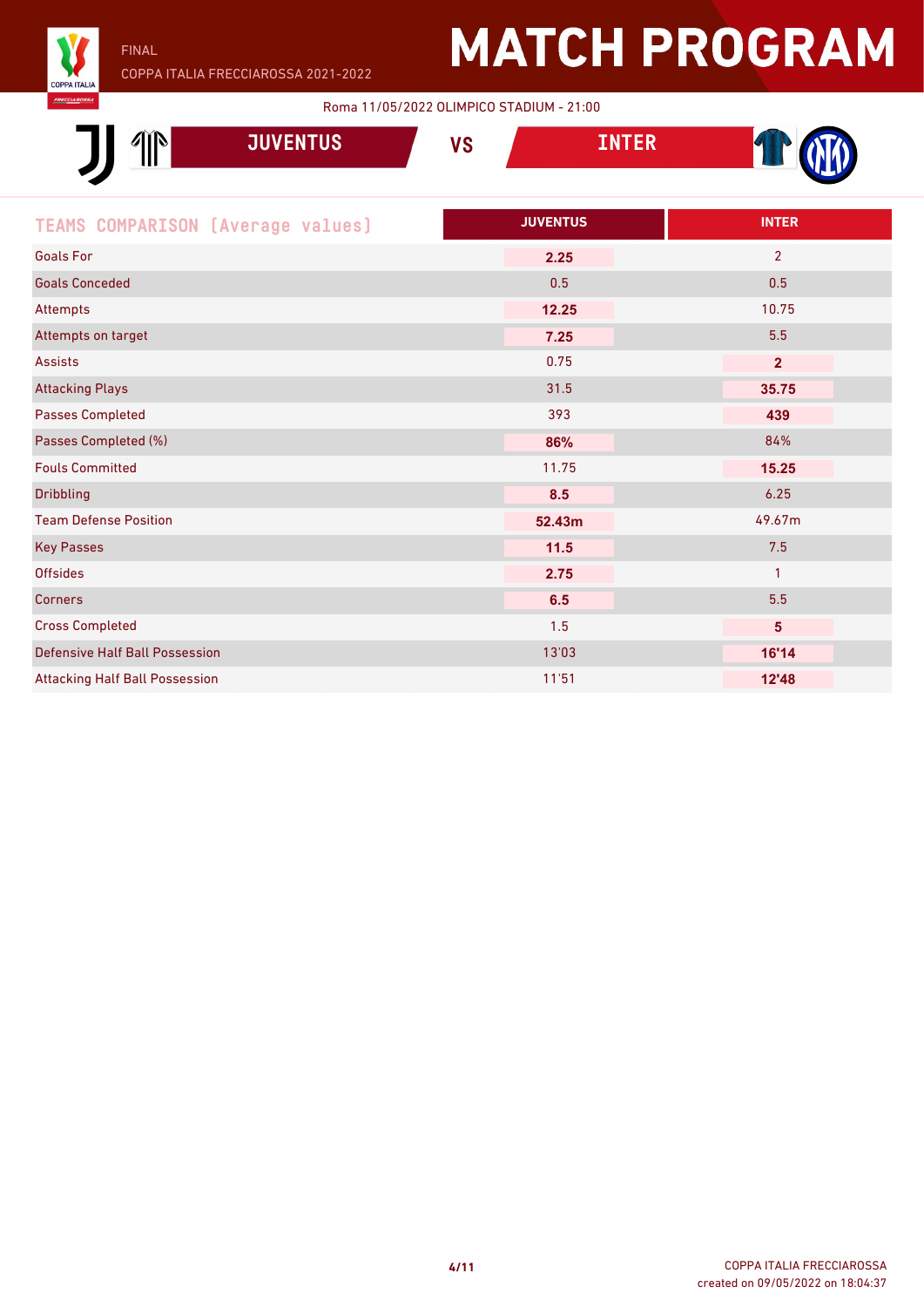

FINAL

# **MATCH PROGRAM**

Roma 11/05/2022 OLIMPICO STADIUM - 21:00

| <b>JUVENTUS</b>                          | <b>VS</b> | <b>INTER</b>    |                |
|------------------------------------------|-----------|-----------------|----------------|
| <b>TEAMS COMPARISON [Average values]</b> |           | <b>JUVENTUS</b> | <b>INTER</b>   |
| <b>Goals For</b>                         |           | 2.25            | $\overline{2}$ |
| <b>Goals Conceded</b>                    |           | 0.5             | 0.5            |
| Attempts                                 |           | 12.25           | 10.75          |
| Attempts on target                       |           | 7.25            | 5.5            |
| <b>Assists</b>                           |           | 0.75            | $\overline{2}$ |
| <b>Attacking Plays</b>                   |           | 31.5            | 35.75          |
| <b>Passes Completed</b>                  |           | 393             | 439            |
| Passes Completed (%)                     |           | 86%             | 84%            |
| <b>Fouls Committed</b>                   |           | 11.75           | 15.25          |
| <b>Dribbling</b>                         |           | 8.5             | 6.25           |
| <b>Team Defense Position</b>             |           | 52.43m          | 49.67m         |
| <b>Key Passes</b>                        |           | 11.5            | 7.5            |
| <b>Offsides</b>                          |           | 2.75            | $\mathbf{1}$   |
| <b>Corners</b>                           |           | 6.5             | 5.5            |
| <b>Cross Completed</b>                   |           | 1.5             | $\sqrt{5}$     |
| <b>Defensive Half Ball Possession</b>    |           | 13'03           | 16'14          |
| <b>Attacking Half Ball Possession</b>    |           | 11'51           | 12'48          |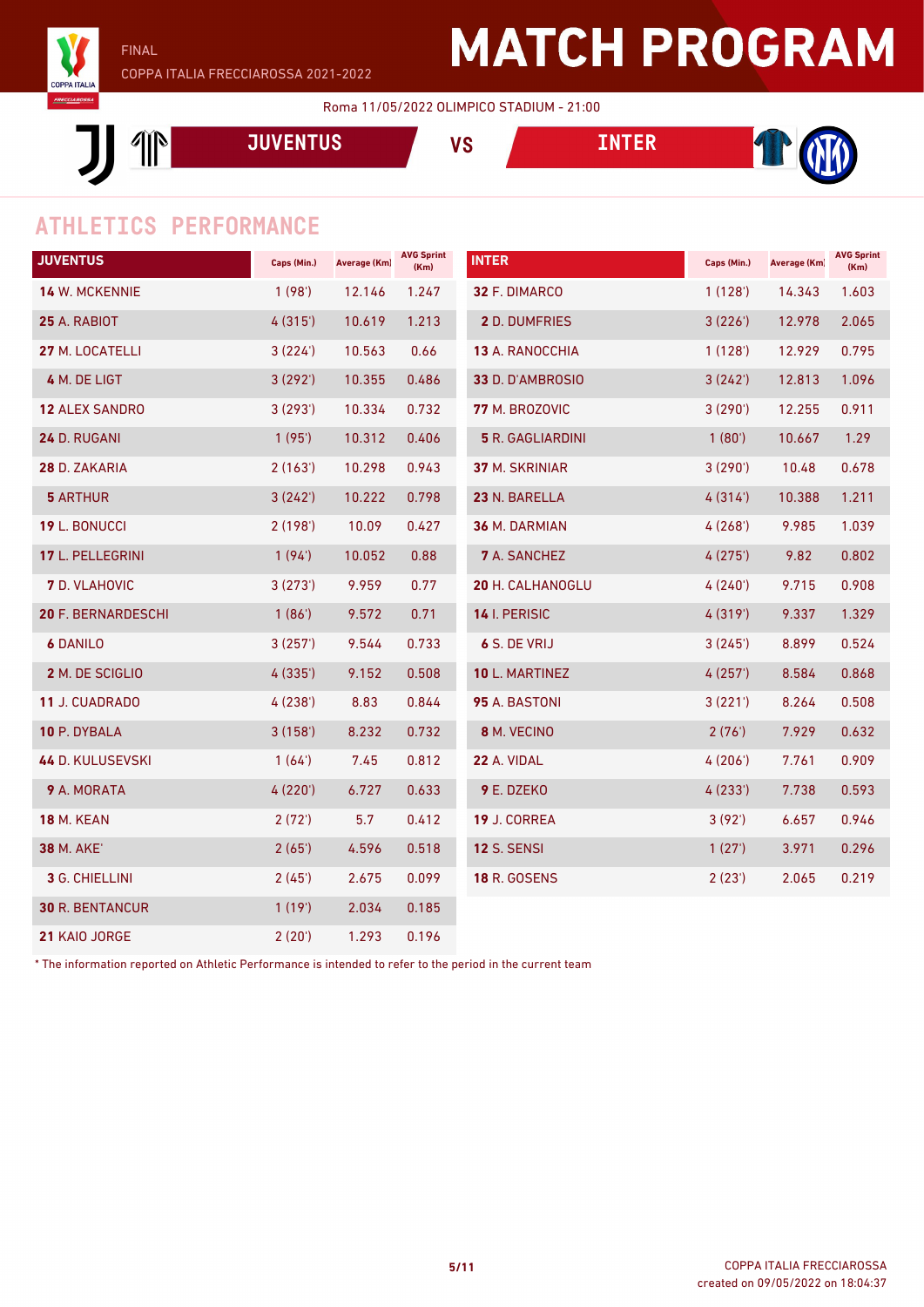

#### Roma 11/05/2022 OLIMPICO STADIUM - 21:00

 $\mathbb{P}$ **JUVENTUS VS INTER**



### **ATHLETICS PERFORMANCE**

| <b>JUVENTUS</b>           | Caps (Min.) | <b>Average (Km)</b> | <b>AVG Sprint</b><br>(Km) | <b>INTER</b>            | Caps (Min.) | <b>Average (Km)</b> | <b>AVG Sprint</b><br>(Km) |
|---------------------------|-------------|---------------------|---------------------------|-------------------------|-------------|---------------------|---------------------------|
| <b>14 W. MCKENNIE</b>     | 1(98)       | 12.146              | 1.247                     | 32 F. DIMARCO           | 1(128)      | 14.343              | 1.603                     |
| 25 A. RABIOT              | 4(315)      | 10.619              | 1.213                     | <b>2 D. DUMFRIES</b>    | 3(226')     | 12.978              | 2.065                     |
| 27 M. LOCATELLI           | 3(224)      | 10.563              | 0.66                      | <b>13 A. RANOCCHIA</b>  | 1(128)      | 12.929              | 0.795                     |
| 4 M. DE LIGT              | 3(292)      | 10.355              | 0.486                     | 33 D. D'AMBROSIO        | 3(242)      | 12.813              | 1.096                     |
| <b>12 ALEX SANDRO</b>     | 3(293)      | 10.334              | 0.732                     | 77 M. BROZOVIC          | 3(290)      | 12.255              | 0.911                     |
| 24 D. RUGANI              | 1(95)       | 10.312              | 0.406                     | <b>5</b> R. GAGLIARDINI | 1(80')      | 10.667              | 1.29                      |
| 28 D. ZAKARIA             | 2(163)      | 10.298              | 0.943                     | 37 M. SKRINIAR          | 3(290)      | 10.48               | 0.678                     |
| <b>5 ARTHUR</b>           | 3(242)      | 10.222              | 0.798                     | 23 N. BARELLA           | 4(314)      | 10.388              | 1.211                     |
| 19 L. BONUCCI             | 2(198)      | 10.09               | 0.427                     | 36 M. DARMIAN           | 4(268)      | 9.985               | 1.039                     |
| 17 L. PELLEGRINI          | 1(94)       | 10.052              | 0.88                      | <b>7</b> A. SANCHEZ     | 4(275)      | 9.82                | 0.802                     |
| <b>7</b> D. VLAHOVIC      | 3(273)      | 9.959               | 0.77                      | 20 H. CALHANOGLU        | 4(240)      | 9.715               | 0.908                     |
| <b>20 F. BERNARDESCHI</b> | 1(86)       | 9.572               | 0.71                      | 14 I. PERISIC           | 4(319)      | 9.337               | 1.329                     |
| <b>6 DANILO</b>           | 3(257)      | 9.544               | 0.733                     | 6 S. DE VRIJ            | 3(245)      | 8.899               | 0.524                     |
| 2 M. DE SCIGLIO           | 4(335)      | 9.152               | 0.508                     | 10 L. MARTINEZ          | 4(257)      | 8.584               | 0.868                     |
| 11 J. CUADRADO            | 4(238)      | 8.83                | 0.844                     | 95 A. BASTONI           | 3(221')     | 8.264               | 0.508                     |
| 10 P. DYBALA              | 3(158)      | 8.232               | 0.732                     | 8 M. VECINO             | 2(76)       | 7.929               | 0.632                     |
| <b>44 D. KULUSEVSKI</b>   | 1(64)       | 7.45                | 0.812                     | 22 A. VIDAL             | 4(206)      | 7.761               | 0.909                     |
| 9 A. MORATA               | 4(220)      | 6.727               | 0.633                     | 9 E. DZEKO              | 4(233)      | 7.738               | 0.593                     |
| <b>18 M. KEAN</b>         | 2(72)       | 5.7                 | 0.412                     | 19 J. CORREA            | 3(92')      | 6.657               | 0.946                     |
| <b>38 M. AKE'</b>         | 2(65)       | 4.596               | 0.518                     | <b>12 S. SENSI</b>      | 1(27)       | 3.971               | 0.296                     |
| 3 G. CHIELLINI            | 2(45)       | 2.675               | 0.099                     | <b>18 R. GOSENS</b>     | 2(23')      | 2.065               | 0.219                     |
| <b>30 R. BENTANCUR</b>    | 1(19)       | 2.034               | 0.185                     |                         |             |                     |                           |
| 21 KAIO JORGE             | 2(20')      | 1.293               | 0.196                     |                         |             |                     |                           |

\* The information reported on Athletic Performance is intended to refer to the period in the current team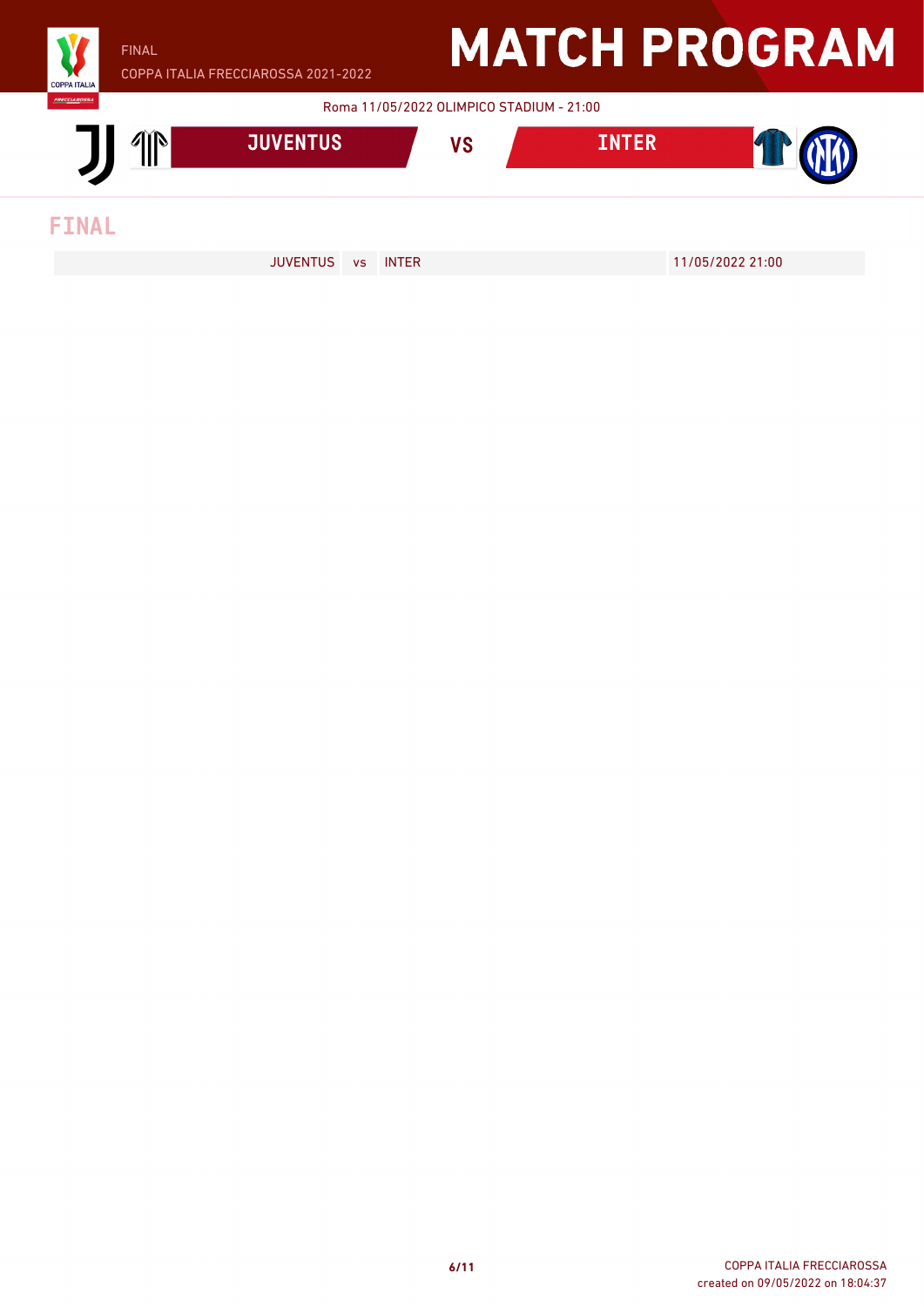

FINAL

COPPA ITALIA FRECCIAROSSA 2021-2022

### **MATCH PROGRAM**

Roma 11/05/2022 OLIMPICO STADIUM - 21:00



JUVENTUS vs INTER 11/05/2022 21:00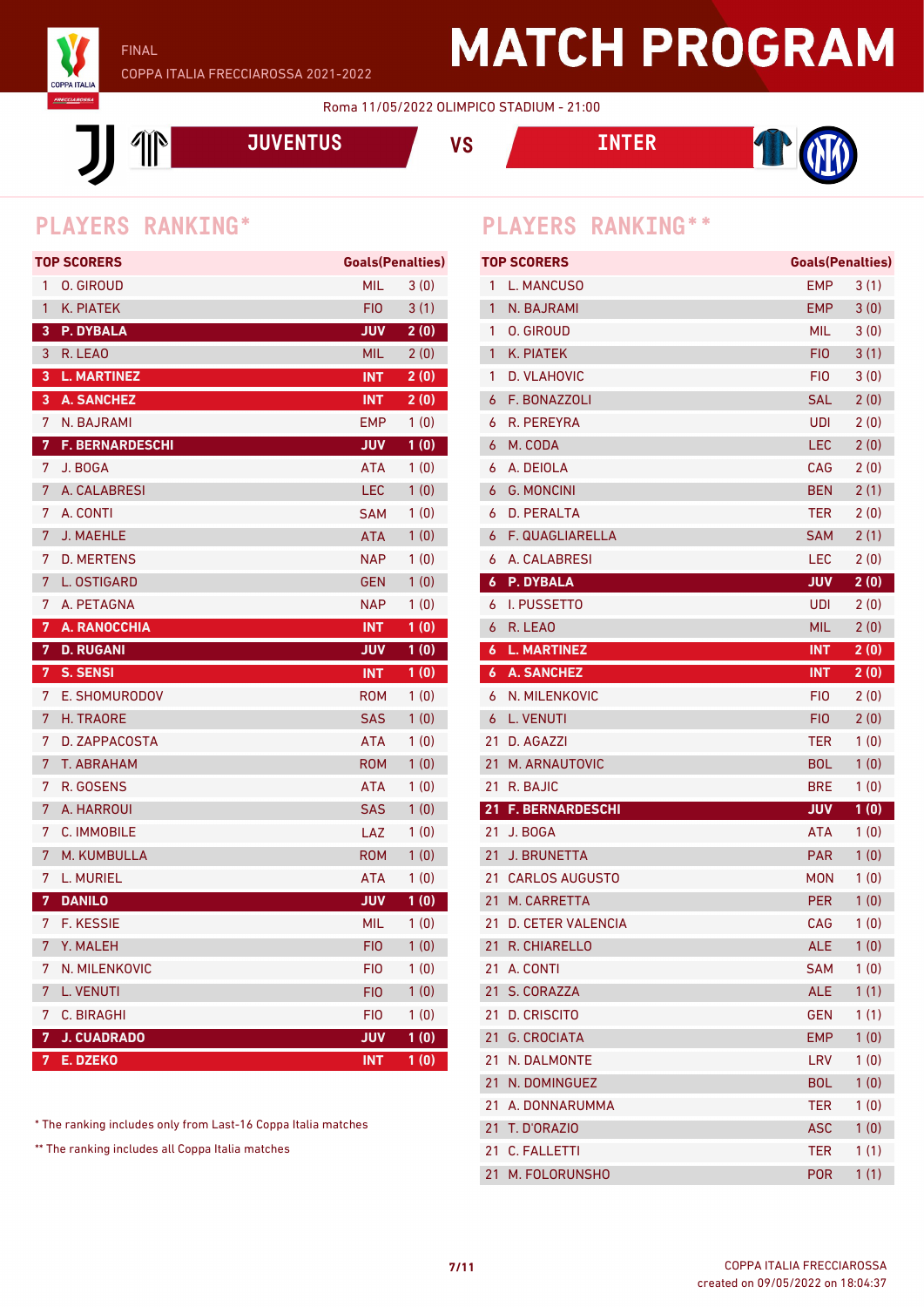

Roma 11/05/2022 OLIMPICO STADIUM - 21:00

 $\mathbb{P}$ 

**JUVENTUS VS INTER**



|    | <b>TOP SCORERS</b>     | <b>Goals (Penalties)</b> |      |
|----|------------------------|--------------------------|------|
| 1  | <b>O. GIROUD</b>       | <b>MIL</b>               | 3(0) |
| 1  | K. PIATEK              | FIO                      | 3(1) |
| 3  | P. DYBALA              | <b>JUV</b>               | 2(0) |
| 3  | R. LEAO                | <b>MIL</b>               | 2(0) |
| 3  | <b>L. MARTINEZ</b>     | <b>INT</b>               | 2(0) |
| 3  | <b>A. SANCHEZ</b>      | <b>INT</b>               | 2(0) |
| 7  | N. BAJRAMI             | <b>EMP</b>               | 1(0) |
| 7  | <b>F. BERNARDESCHI</b> | <b>VUL</b>               | 1(0) |
| 7  | J. BOGA                | <b>ATA</b>               | 1(0) |
| 7  | A. CALABRESI           | LEC                      | 1(0) |
| 7  | A. CONTI               | <b>SAM</b>               | 1(0) |
| 7  | <b>J. MAEHLE</b>       | <b>ATA</b>               | 1(0) |
| 7  | <b>D. MERTENS</b>      | <b>NAP</b>               | 1(0) |
| 7  | L. OSTIGARD            | <b>GEN</b>               | 1(0) |
| 7  | A. PETAGNA             | <b>NAP</b>               | 1(0) |
| 7. | A. RANOCCHIA           | <b>INT</b>               | 1(0) |
| 7  | <b>D. RUGANI</b>       | <b>JUV</b>               | 1(0) |
|    |                        |                          |      |
| 7  | <b>S. SENSI</b>        | <b>INT</b>               | 1(0) |
| 7  | E. SHOMURODOV          | <b>ROM</b>               | 1(0) |
| 7  | H. TRAORE              | <b>SAS</b>               | 1(0) |
| 7  | D. ZAPPACOSTA          | <b>ATA</b>               | 1(0) |
| 7  | T. ABRAHAM             | <b>ROM</b>               | 1(0) |
| 7  | R. GOSENS              | <b>ATA</b>               | 1(0) |
| 7  | A. HARROUI             | <b>SAS</b>               | 1(0) |
| 7  | C. IMMOBILE            | LAZ                      | 1(0) |
| 7  | M. KUMBULLA            | ROM                      | 1(0) |
| 7  | L. MURIEL              | ATA                      | 1(0) |
| 7  | <b>DANILO</b>          | <b>JUV</b>               | 1(0) |
|    | 7 F. KESSIE            | <b>MIL</b>               | 1(0) |
| 7  | Y. MALEH               | FIO                      | 1(0) |
| 7  | N. MILENKOVIC          | <b>FIO</b>               | 1(0) |
| 7  | <b>L. VENUTI</b>       | <b>FIO</b>               | 1(0) |
| 7  | C. BIRAGHI             | <b>FIO</b>               | 1(0) |
| 7  | <b>J. CUADRADO</b>     | JUV                      | 1(0) |

\* The ranking includes only from Last-16 Coppa Italia matches

\*\* The ranking includes all Coppa Italia matches

### **PLAYERS RANKING\* PLAYERS RANKING\*\***

|                  | <b>TOP SCORERS</b>       | <b>Goals (Penalties)</b> |      |
|------------------|--------------------------|--------------------------|------|
| 1                | L. MANCUSO               | EMP.                     | 3(1) |
| 1                | N. BAJRAMI               | EMP                      | 3(0) |
| 1                | O. GIROUD                | MIL.                     | 3(0) |
| 1                | K. PIATEK                | FIO <sub>1</sub>         | 3(1) |
| 1                | D. VLAHOVIC              | FIO.                     | 3(0) |
| 6                | F. BONAZZOLI             | <b>SAL</b>               | 2(0) |
| 6                | R. PEREYRA               | <b>UDI</b>               | 2(0) |
| 6                | M. CODA                  | <b>LEC</b>               | 2(0) |
| 6                | A. DEIOLA                | CAG                      | 2(0) |
| 6                | <b>G. MONCINI</b>        | <b>BEN</b>               | 2(1) |
| 6                | <b>D. PERALTA</b>        | <b>TER</b>               | 2(0) |
| 6                | F. QUAGLIARELLA          | SAM                      | 2(1) |
| 6                | A. CALABRESI             | LEC                      | 2(0) |
| 6                | <b>P. DYBALA</b>         | <b>VUL</b>               | 2(0) |
| 6                | I. PUSSETTO              | <b>UDI</b>               | 2(0) |
| 6                | R. LEAO                  | <b>MIL</b>               | 2(0) |
| $\boldsymbol{6}$ | <b>L. MARTINEZ</b>       | <b>INT</b>               | 2(0) |
| 6                | <b>A. SANCHEZ</b>        | <b>INT</b>               | 2(0) |
| 6                | N. MILENKOVIC            | FIO                      | 2(0) |
| 6                | <b>L. VENUTI</b>         | FIO.                     | 2(0) |
| 21               | D. AGAZZI                | TER                      | 1(0) |
| 21               | M. ARNAUTOVIC            | <b>BOL</b>               | 1(0) |
| 21               | R. BAJIC                 | <b>BRE</b>               | 1(0) |
| 21               | <b>F. BERNARDESCHI</b>   | <b>JUV</b>               | 1(0) |
| 21               | J. BOGA                  | <b>ATA</b>               | 1(0) |
| 21               | <b>J. BRUNETTA</b>       | <b>PAR</b>               | 1(0) |
| 21               | <b>CARLOS AUGUSTO</b>    | MON                      | 1(0) |
| 21               | M. CARRETTA              | <b>PER</b>               | 1(0) |
| 21               | <b>D. CETER VALENCIA</b> | CAG                      | 1(0) |
| 21               | R. CHIARELLO             | <b>ALE</b>               | 1(0) |
| 21               | A. CONTI                 | <b>SAM</b>               | 1(0) |
| 21               | S. CORAZZA               | <b>ALE</b>               | 1(1) |
| 21               | <b>D. CRISCITO</b>       | <b>GEN</b>               | 1(1) |
| 21               | <b>G. CROCIATA</b>       | <b>EMP</b>               | 1(0) |
| 21               | N. DALMONTE              | LRV                      | 1(0) |
| 21               | N. DOMINGUEZ             | <b>BOL</b>               | 1(0) |
| 21               | A. DONNARUMMA            | <b>TER</b>               | 1(0) |
| 21               | T. D'ORAZIO              | <b>ASC</b>               | 1(0) |
| 21               | <b>C. FALLETTI</b>       | <b>TER</b>               | 1(1) |
| 21               | M. FOLORUNSHO            | <b>POR</b>               | 1(1) |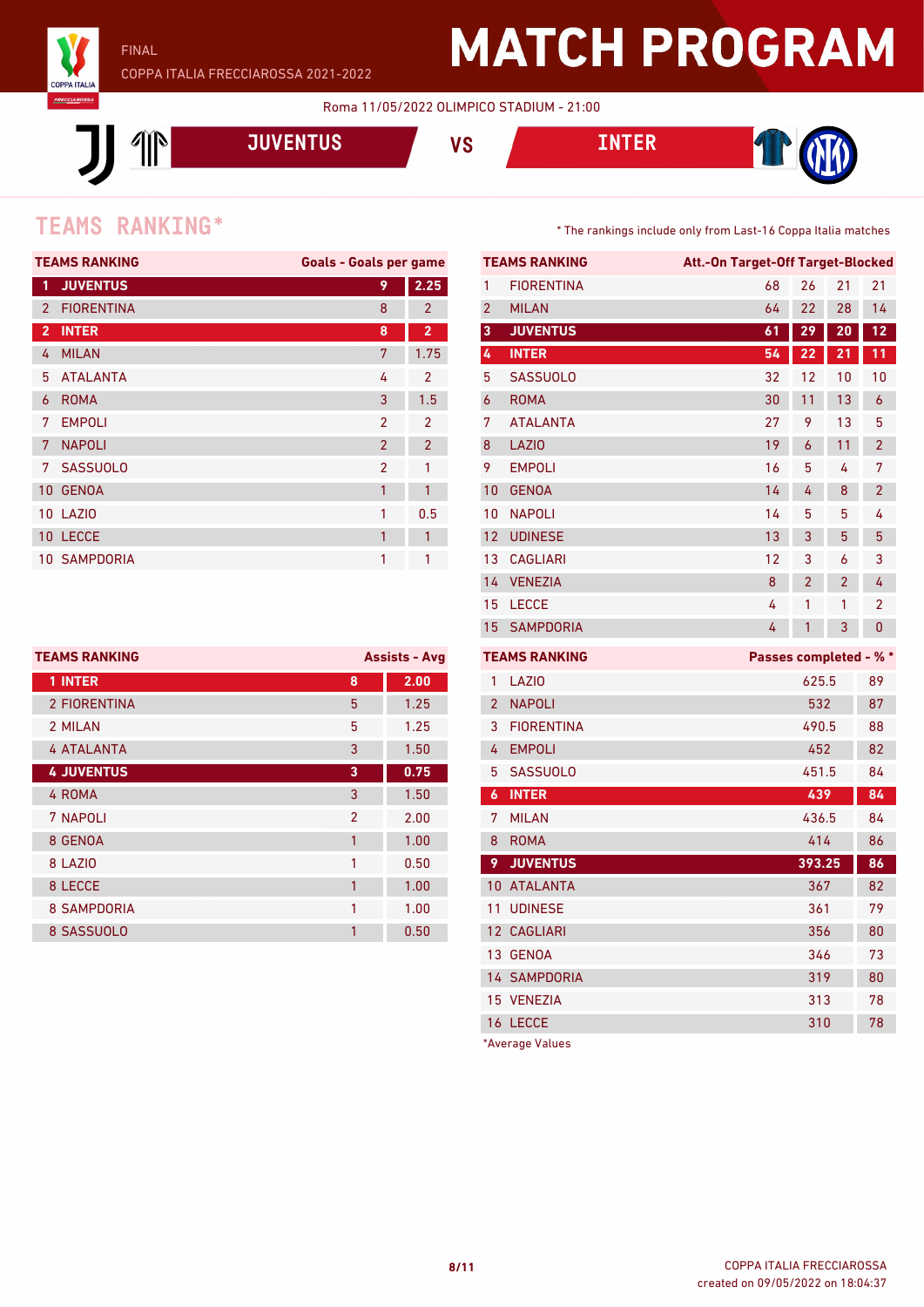

Roma 11/05/2022 OLIMPICO STADIUM - 21:00



### **TEAMS** RANKING<sup>\*</sup> The rankings include only from Last-16 Coppa Italia matches

|                | <b>TEAMS RANKING</b> | <b>Goals - Goals per game</b> |                |
|----------------|----------------------|-------------------------------|----------------|
| 1              | <b>JUVENTUS</b>      | 9                             | 2.25           |
| $\overline{2}$ | <b>FIORENTINA</b>    | 8                             | $\overline{2}$ |
| $\overline{2}$ | <b>INTER</b>         | 8                             | $\overline{2}$ |
| 4              | <b>MILAN</b>         | 7                             | 1.75           |
| 5              | <b>ATALANTA</b>      | 4                             | $\mathfrak{p}$ |
| 6              | <b>ROMA</b>          | 3                             | 1.5            |
| 7              | <b>EMPOLI</b>        | $\mathcal{P}$                 | $\mathcal{P}$  |
| 7              | <b>NAPOLI</b>        | $\overline{2}$                | $\overline{2}$ |
| 7              | <b>SASSUOLO</b>      | $\overline{2}$                | 1              |
| 10             | <b>GENOA</b>         | 1                             | 1              |
|                | <b>10 LAZIO</b>      | 1                             | 0.5            |
|                | 10 LECCE             | 1                             | 1              |
|                | 10 SAMPDORIA         | 1                             | 1              |
|                |                      |                               |                |

| <b>TEAMS RANKING</b> |                | <b>Assists - Avg</b> |
|----------------------|----------------|----------------------|
| 1 INTER              | 8              | 2.00                 |
| 2 FIORENTINA         | 5              | 1.25                 |
| 2 MILAN              | 5              | 1.25                 |
| <b>4 ATALANTA</b>    | 3              | 1.50                 |
| <b>4 JUVENTUS</b>    | 3              | 0.75                 |
| 4 ROMA               | 3              | 1.50                 |
| 7 NAPOLI             | $\mathfrak{p}$ | 2.00                 |
| 8 GENOA              | 1              | 1.00                 |
| 8 LAZIO              | 1              | 0.50                 |
| 8 LECCE              | 1              | 1.00                 |
| <b>8 SAMPDORIA</b>   | 1              | 1.00                 |
| 8 SASSUOLO           | 1              | 0.50                 |

|                | <b>TEAMS RANKING</b> | Att.-On Target-Off Target-Blocked |                |                |                |
|----------------|----------------------|-----------------------------------|----------------|----------------|----------------|
| 1              | <b>FIORENTINA</b>    | 68                                | 26             | 21             | 21             |
| 2              | <b>MILAN</b>         | 64                                | 22             | 28             | 14             |
| 3              | <b>JUVENTUS</b>      | 61                                | 29             | 20             | 12             |
| 4              | <b>INTER</b>         | 54                                | 22             | 21             | 11             |
| 5              | <b>SASSUOLO</b>      | 32                                | 12             | 10             | 10             |
| 6              | <b>ROMA</b>          | 30                                | 11             | 13             | 6              |
| 7              | <b>ATALANTA</b>      | 27                                | 9              | 13             | 5              |
| 8              | <b>LAZIO</b>         | 19                                | 6              | 11             | $\overline{2}$ |
| 9              | <b>EMPOLI</b>        | 16                                | 5              | 4              | 7              |
| 10             | <b>GENOA</b>         | 14                                | 4              | 8              | $\overline{2}$ |
| 10             | <b>NAPOLI</b>        | 14                                | 5              | 5              | 4              |
| 12             | <b>UDINESE</b>       | 13                                | 3              | 5              | 5              |
| 13             | <b>CAGLIARI</b>      | 12                                | 3              | 6              | 3              |
| 14             | <b>VENEZIA</b>       | 8                                 | $\overline{2}$ | $\overline{2}$ | 4              |
| 15             | <b>LECCE</b>         | 4                                 | 1              | 1              | 2              |
| 15             | <b>SAMPDORIA</b>     | 4                                 | 1              | 3              | 0              |
|                | <b>TEAMS RANKING</b> | Passes completed - % *            |                |                |                |
| 1              | LAZI <sub>0</sub>    |                                   | 625.5          |                | 89             |
| $\overline{2}$ | <b>NAPOLI</b>        |                                   | 532            |                | 87             |
| 3              | <b>FIORENTINA</b>    |                                   | 490.5          |                | 88             |
| 4              | <b>EMPOLI</b>        |                                   | 452            |                | 82             |
| 5              | <b>SASSUOLO</b>      |                                   | 451.5          |                | 84             |
| 6              | <b>INTER</b>         |                                   | 439            |                | 84             |
| 7              | <b>MILAN</b>         |                                   | 436.5          |                | 84             |
| 8              | <b>ROMA</b>          |                                   | 414            |                | 86             |
| 9              | <b>JUVENTUS</b>      |                                   | 393.25         |                | 86             |
| 10             | <b>ATALANTA</b>      |                                   | 367            |                | 82             |
| 11             | <b>UDINESE</b>       |                                   | 361            |                | 79             |
| 12             | <b>CAGLIARI</b>      |                                   | 356            |                | 80             |
| 13             | <b>GENOA</b>         |                                   | 346            |                | 73             |
|                | <b>14 SAMPDORIA</b>  |                                   | 319            |                | 80             |
| 15             | <b>VENEZIA</b>       |                                   | 313            |                | 78             |
| 16             | <b>LECCE</b>         |                                   | 310            |                | 78             |

\*Average Values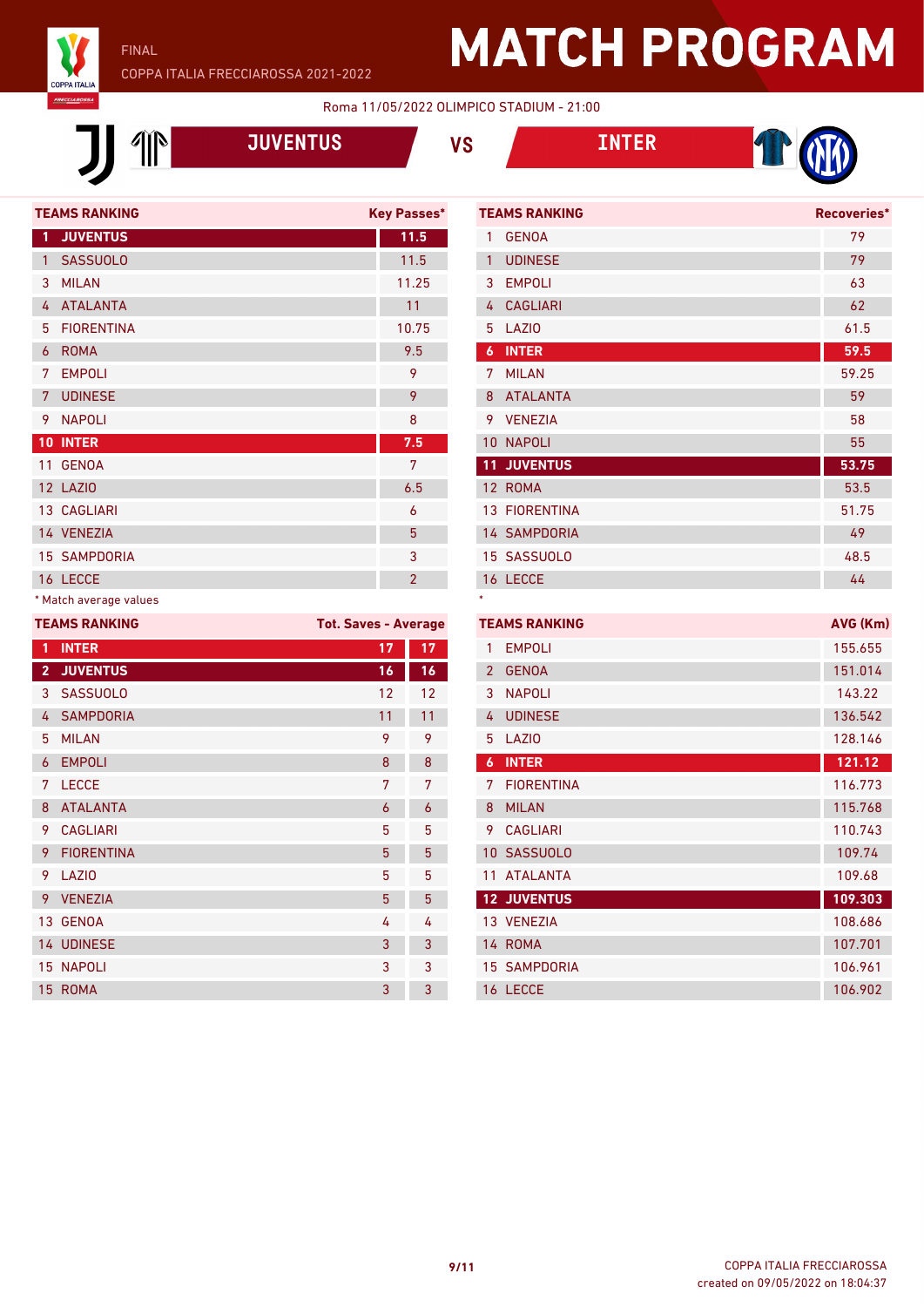

### FINAL COPPA ITALIA FRECCIAROSSA 2021-2022

## **MATCH PROGRAM**

#### Roma 11/05/2022 OLIMPICO STADIUM - 21:00

\*



**JUVENTUS VS INTER**





|                | <b>TEAMS RANKING</b> | <b>Key Passes*</b> |
|----------------|----------------------|--------------------|
| 1              | <b>JUVENTUS</b>      | 11.5               |
| 1              | <b>SASSUOLO</b>      | 11.5               |
| 3              | <b>MILAN</b>         | 11.25              |
| 4              | <b>ATALANTA</b>      | 11                 |
| 5              | <b>FIORENTINA</b>    | 10.75              |
| 6              | <b>ROMA</b>          | 9.5                |
| 7              | <b>EMPOLI</b>        | 9                  |
| $\overline{7}$ | <b>UDINESE</b>       | 9                  |
| 9              | <b>NAPOLI</b>        | 8                  |
| 10             | <b>INTER</b>         | 7.5                |
| 11             | <b>GENOA</b>         | 7                  |
|                | 12 LAZIO             | 6.5                |
|                | <b>13 CAGLIARI</b>   | 6                  |
|                | 14 VENEZIA           | 5                  |
|                | <b>15 SAMPDORIA</b>  | 3                  |
|                | 16 LECCE             | $\overline{2}$     |
|                |                      |                    |

### \* Match average values

| <b>TEAMS RANKING</b> | <b>Tot. Saves - Average</b>                                      |    |
|----------------------|------------------------------------------------------------------|----|
| <b>INTER</b>         | 17                                                               | 17 |
| <b>JUVENTUS</b>      | 16                                                               | 16 |
| <b>SASSUOLO</b>      | 12                                                               | 12 |
| <b>SAMPDORIA</b>     | 11                                                               | 11 |
| <b>MILAN</b>         | 9                                                                | 9  |
| <b>EMPOLI</b>        | 8                                                                | 8  |
| <b>LECCE</b>         | 7                                                                | 7  |
| <b>ATALANTA</b>      | 6                                                                | 6  |
| <b>CAGLIARI</b>      | 5                                                                | 5  |
| <b>FIORENTINA</b>    | 5                                                                | 5  |
| LAZIO                | 5                                                                | 5  |
| <b>VENEZIA</b>       | 5                                                                | 5  |
|                      | 4                                                                | 4  |
|                      | 3                                                                | 3  |
|                      | 3                                                                | 3  |
|                      | 3                                                                | 3  |
|                      | 13 GENOA<br><b>14 UDINESE</b><br><b>15 NAPOLI</b><br><b>ROMA</b> |    |

|                 | <b>TEAMS RANKING</b> | Recoveries* |
|-----------------|----------------------|-------------|
| 1               | <b>GENOA</b>         | 79          |
| $\mathbf{1}$    | <b>UDINESE</b>       | 79          |
| 3               | <b>EMPOLI</b>        | 63          |
| 4               | <b>CAGLIARI</b>      | 62          |
| 5               | LAZI <sub>0</sub>    | 61.5        |
| 6               | <b>INTER</b>         | 59.5        |
| 7               | <b>MILAN</b>         | 59.25       |
| 8               | <b>ATALANTA</b>      | 59          |
| 9               | <b>VENEZIA</b>       | 58          |
| 10 <sup>°</sup> | <b>NAPOLI</b>        | 55          |
|                 | <b>11 JUVENTUS</b>   | 53.75       |
|                 | 12 ROMA              | 53.5        |
|                 | <b>13 FIORENTINA</b> | 51.75       |
|                 | <b>14 SAMPDORIA</b>  | 49          |
|                 | 15 SASSUOLO          | 48.5        |
|                 | 16 LECCE             | 44          |

| <b>TEAMS RANKING</b> | AVG (Km)            |         |
|----------------------|---------------------|---------|
| 1                    | <b>EMPOLI</b>       | 155.655 |
| $\overline{2}$       | <b>GENOA</b>        | 151.014 |
| 3                    | <b>NAPOLI</b>       | 143.22  |
| 4                    | <b>UDINESE</b>      | 136.542 |
| 5                    | LAZI <sub>0</sub>   | 128.146 |
| 6                    | <b>INTER</b>        | 121.12  |
| 7                    | <b>FIORENTINA</b>   | 116.773 |
| 8                    | <b>MILAN</b>        | 115.768 |
| 9                    | <b>CAGLIARI</b>     | 110.743 |
| 10 <sup>1</sup>      | <b>SASSUOLO</b>     | 109.74  |
| 11                   | <b>ATALANTA</b>     | 109.68  |
|                      | <b>12 JUVENTUS</b>  | 109.303 |
|                      | 13 VENEZIA          | 108.686 |
|                      | 14 ROMA             | 107.701 |
|                      | <b>15 SAMPDORIA</b> | 106.961 |
|                      | 16 LECCE            | 106.902 |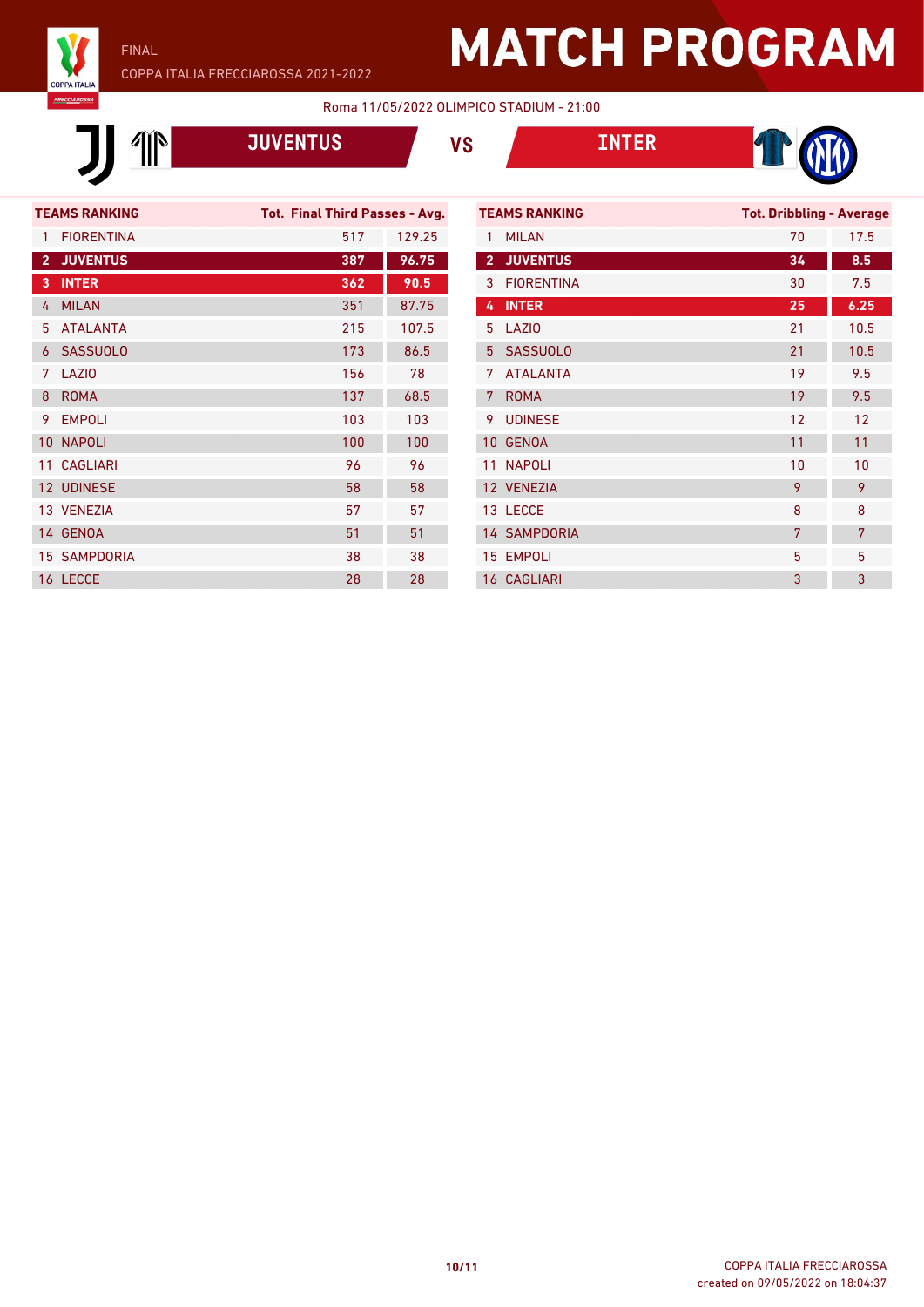

FINAL

### COPPA ITALIA FRECCIAROSSA 2021-2022

# **MATCH PROGRAM**

T (

#### Roma 11/05/2022 OLIMPICO STADIUM - 21:00

|                      |                   | <b>JUVENTUS</b>                |        | <b>VS</b>       |                      | <b>INTER</b> |
|----------------------|-------------------|--------------------------------|--------|-----------------|----------------------|--------------|
|                      |                   |                                |        |                 |                      |              |
| <b>TEAMS RANKING</b> |                   | Tot. Final Third Passes - Avg. |        |                 | <b>TEAMS RANKING</b> |              |
| 1                    | <b>FIORFNTINA</b> | 517                            | 129.25 | 1               | <b>MILAN</b>         |              |
| $\overline{2}$       | <b>JUVENTUS</b>   | 387                            | 96.75  | $\overline{2}$  | <b>JUVENTUS</b>      |              |
| 3                    | <b>INTER</b>      | 362                            | 90.5   | 3               | <b>FIORENTINA</b>    |              |
| 4                    | <b>MILAN</b>      | 351                            | 87.75  | 4               | <b>INTER</b>         |              |
| 5                    | <b>ATALANTA</b>   | 215                            | 107.5  | 5               | LAZIO                |              |
| 6                    | <b>SASSUOLO</b>   | 173                            | 86.5   | 5               | <b>SASSUOLO</b>      |              |
| 7                    | LAZI <sub>0</sub> | 156                            | 78     | 7               | <b>ATALANTA</b>      |              |
| 8                    | <b>ROMA</b>       | 137                            | 68.5   | 7 <sup>1</sup>  | <b>ROMA</b>          |              |
| 9                    | <b>EMPOLI</b>     | 103                            | 103    | 9               | <b>UDINESE</b>       |              |
| 10                   | <b>NAPOLI</b>     | 100                            | 100    | 10 <sup>°</sup> | <b>GENOA</b>         |              |
| 11                   | <b>CAGI IARI</b>  | 96                             | 96     | 11              | <b>NAPOLI</b>        |              |
| 12 <sup>°</sup>      | <b>UDINESE</b>    | 58                             | 58     |                 | 12 VENEZIA           |              |
|                      | 13 VFNF7IA        | 57                             | 57     |                 | 13 LECCE             |              |
|                      | 14 GENOA          | 51                             | 51     |                 | <b>14 SAMPDORIA</b>  |              |
| 15                   | <b>SAMPDORIA</b>  | 38                             | 38     |                 | <b>15 EMPOLI</b>     |              |
|                      | 16 LECCE          | 28                             | 28     |                 | <b>16 CAGLIARI</b>   |              |
|                      |                   |                                |        |                 |                      |              |

| <b>TEAMS RANKING</b> |                     | <b>Tot. Dribbling - Average</b> |      |  |
|----------------------|---------------------|---------------------------------|------|--|
| 1                    | <b>MILAN</b>        | 70                              | 17.5 |  |
| $\overline{2}$       | <b>JUVENTUS</b>     | 34                              | 8.5  |  |
| 3                    | <b>FIORENTINA</b>   | 30                              | 7.5  |  |
| 4                    | <b>INTER</b>        | 25                              | 6.25 |  |
| 5                    | LAZI <sub>0</sub>   | 21                              | 10.5 |  |
| 5                    | <b>SASSUOLO</b>     | 21                              | 10.5 |  |
| 7                    | <b>ATALANTA</b>     | 19                              | 9.5  |  |
| 7                    | <b>ROMA</b>         | 19                              | 9.5  |  |
| 9                    | <b>UDINESE</b>      | 12                              | 12   |  |
| 10                   | <b>GENOA</b>        | 11                              | 11   |  |
| 11                   | <b>NAPOLI</b>       | 10                              | 10   |  |
|                      | 12 VENEZIA          | 9                               | 9    |  |
|                      | 13 LECCE            | 8                               | 8    |  |
|                      | <b>14 SAMPDORIA</b> | 7                               | 7    |  |
|                      | 15 EMPOLI           | 5                               | 5    |  |
|                      | <b>16 CAGLIARI</b>  | 3                               | 3    |  |